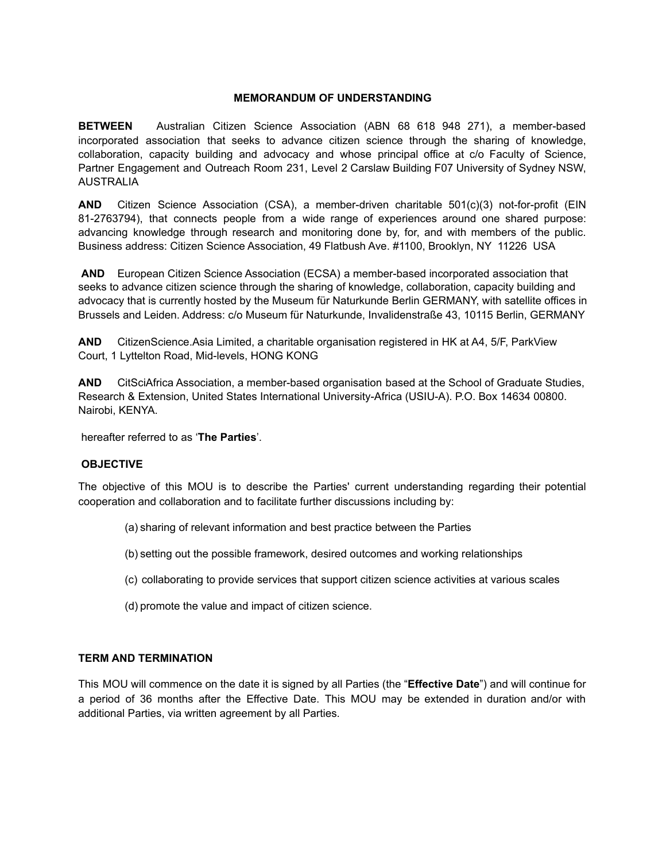#### **MEMORANDUM OF UNDERSTANDING**

**BETWEEN** Australian Citizen Science Association (ABN 68 618 948 271), a member-based incorporated association that seeks to advance citizen science through the sharing of knowledge, collaboration, capacity building and advocacy and whose principal office at c/o Faculty of Science, Partner Engagement and Outreach Room 231, Level 2 Carslaw Building F07 University of Sydney NSW, **AUSTRALIA** 

**AND** Citizen Science Association (CSA), a member-driven charitable 501(c)(3) not-for-profit (EIN 81-2763794), that connects people from a wide range of experiences around one shared purpose: advancing knowledge through research and monitoring done by, for, and with members of the public. Business address: Citizen Science Association, 49 Flatbush Ave. #1100, Brooklyn, NY 11226 USA

AND European Citizen Science Association (ECSA) a member-based incorporated association that seeks to advance citizen science through the sharing of knowledge, collaboration, capacity building and advocacy that is currently hosted by the Museum für Naturkunde Berlin GERMANY, with satellite offices in Brussels and Leiden. Address: c/o Museum für Naturkunde, Invalidenstraße 43, 10115 Berlin, GERMANY

**AND** CitizenScience. Asia Limited, a charitable organisation registered in HK at A4, 5/F, ParkView Court, 1 Lyttelton Road, Mid-levels, HONG KONG

AND CitSciAfrica Association, a member-based organisation based at the School of Graduate Studies, Research & Extension, United States International University-Africa (USIU-A). P.O. Box 14634 00800. Nairobi, KENYA.

hereafter referred to as 'The Parties'.

### **OBJECTIVE**

The objective of this MOU is to describe the Parties' current understanding regarding their potential cooperation and collaboration and to facilitate further discussions including by:

- (a) sharing of relevant information and best practice between the Parties
- (b) setting out the possible framework, desired outcomes and working relationships
- (c) collaborating to provide services that support citizen science activities at various scales
- (d) promote the value and impact of citizen science.

#### **TERM AND TERMINATION**

This MOU will commence on the date it is signed by all Parties (the "Effective Date") and will continue for a period of 36 months after the Effective Date. This MOU may be extended in duration and/or with additional Parties, via written agreement by all Parties.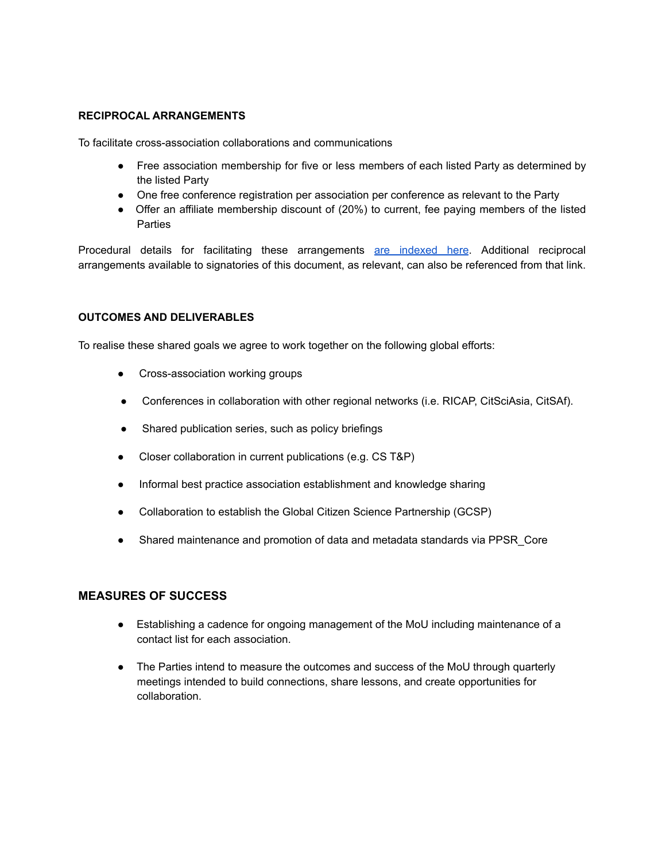### **RECIPROCAL ARRANGEMENTS**

To facilitate cross-association collaborations and communications

- Free association membership for five or less members of each listed Party as determined by the listed Party
- One free conference registration per association per conference as relevant to the Party
- Offer an affiliate membership discount of (20%) to current, fee paying members of the listed **Parties**

Procedural details for facilitating these arrangements are indexed here. Additional reciprocal arrangements available to signatories of this document, as relevant, can also be referenced from that link.

### **OUTCOMES AND DELIVERABLES**

To realise these shared goals we agree to work together on the following global efforts:

- Cross-association working groups
- Conferences in collaboration with other regional networks (i.e. RICAP, CitSciAsia, CitSAf).
- Shared publication series, such as policy briefings
- Closer collaboration in current publications (e.g. CS T&P)  $\bullet$
- Informal best practice association establishment and knowledge sharing  $\bullet$
- Collaboration to establish the Global Citizen Science Partnership (GCSP)  $\bullet$
- Shared maintenance and promotion of data and metadata standards via PPSR Core

### **MEASURES OF SUCCESS**

- Establishing a cadence for ongoing management of the MoU including maintenance of a contact list for each association.
- The Parties intend to measure the outcomes and success of the MoU through quarterly meetings intended to build connections, share lessons, and create opportunities for collaboration.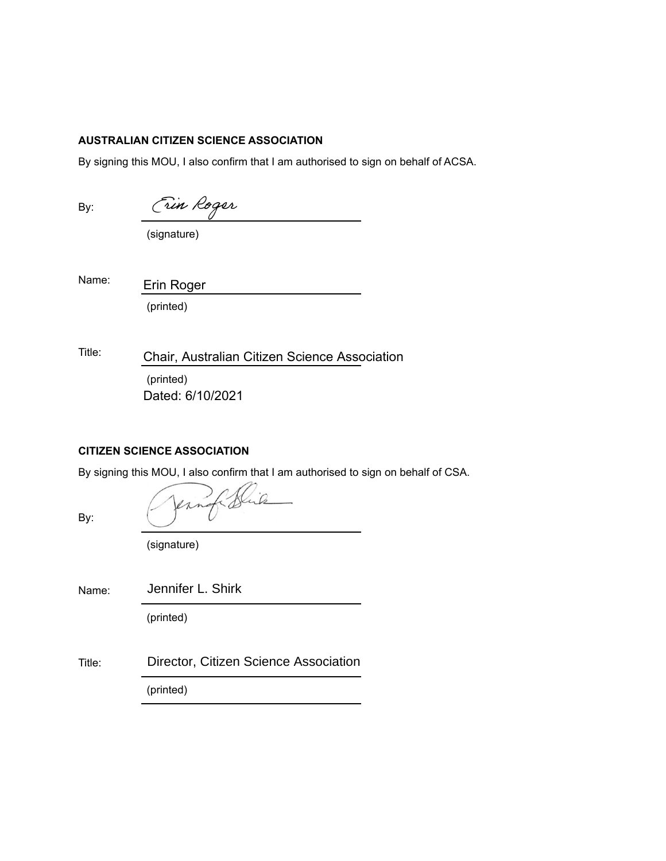### **AUSTRALIAN CITIZEN SCIENCE ASSOCIATION**

By signing this MOU, I also confirm that I am authorised to sign on behalf of ACSA.

By:

| HAROR<br>$\overline{\mathcal{M}}$ |  |
|-----------------------------------|--|
|                                   |  |
|                                   |  |

(signature)

Name:

(printed) Erin Roger

Title: (printed) Chair, Australian Citizen Science Association Dated: 6/10/2021

### **CITIZEN SCIENCE ASSOCIATION**

By signing this MOU, I also confirm that I am authorised to sign on behalf of CSA.

By:

| Vernati Hip |  |
|-------------|--|
|             |  |
|             |  |
|             |  |

(signature)

Name: Jennifer L. Shirk

(printed)

Title: Director, Citizen Science Association

(printed)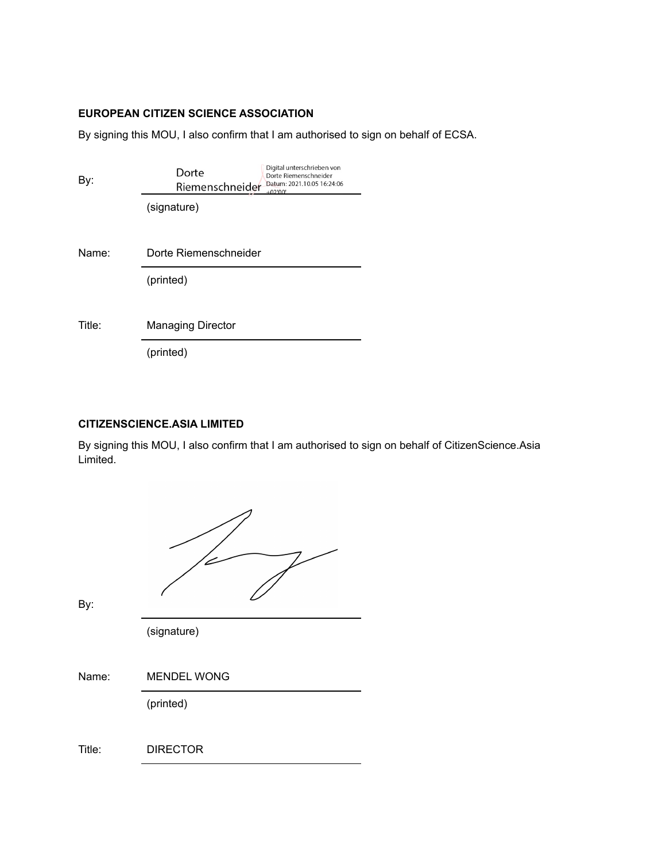## **EUROPEAN CITIZEN SCIENCE ASSOCIATION**

By signing this MOU, I also confirm that I am authorised to sign on behalf of ECSA.

| By:    | Digital unterschrieben von<br>Dorte<br>Dorte Riemenschneider<br>Datum: 2021.10.05 16:24:06<br>Riemenschneider<br>$+02'00'$ |
|--------|----------------------------------------------------------------------------------------------------------------------------|
|        | (signature)                                                                                                                |
| Name:  | Dorte Riemenschneider                                                                                                      |
|        | (printed)                                                                                                                  |
| Title: | <b>Managing Director</b>                                                                                                   |
|        | (printed)                                                                                                                  |

### **CITIZENSCIENCE.ASIA LIMITED**

By signing this MOU, I also confirm that I am authorised to sign on behalf of CitizenScience.Asia Limited.

| By:    |                    |
|--------|--------------------|
|        | (signature)        |
| Name:  | <b>MENDEL WONG</b> |
|        | (printed)          |
| Title: | <b>DIRECTOR</b>    |